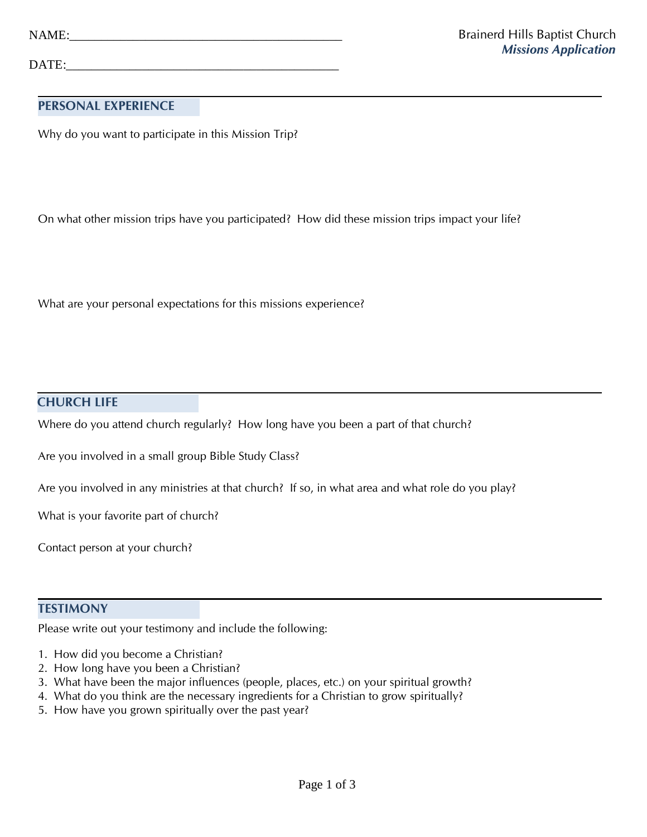DATE:

## **PERSONAL EXPERIENCE**

Why do you want to participate in this Mission Trip?

On what other mission trips have you participated? How did these mission trips impact your life?

What are your personal expectations for this missions experience?

#### **CHURCH LIFE**

Where do you attend church regularly? How long have you been a part of that church?

Are you involved in a small group Bible Study Class?

Are you involved in any ministries at that church? If so, in what area and what role do you play?

What is your favorite part of church?

Contact person at your church?

#### **TESTIMONY**

Please write out your testimony and include the following:

- 1. How did you become a Christian?
- 2. How long have you been a Christian?
- 3. What have been the major influences (people, places, etc.) on your spiritual growth?
- 4. What do you think are the necessary ingredients for a Christian to grow spiritually?
- 5. How have you grown spiritually over the past year?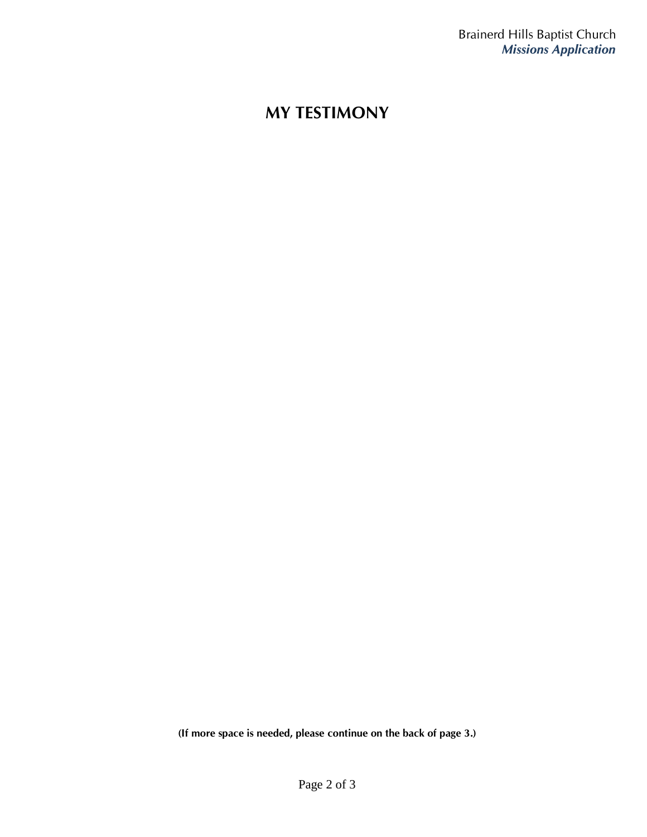# **MY TESTIMONY**

**(If more space is needed, please continue on the back of page 3.)**